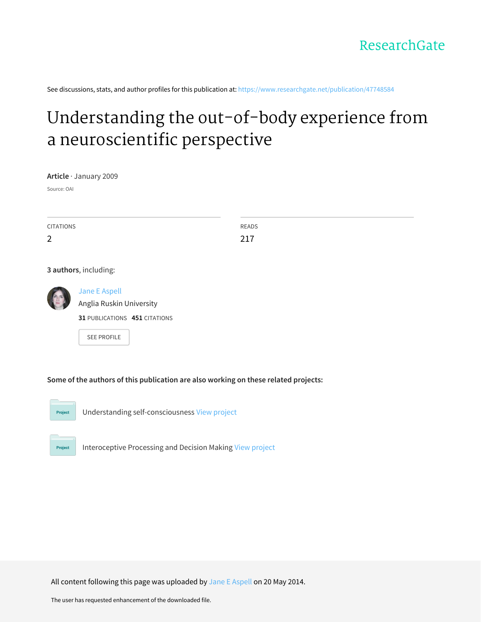See discussions, stats, and author profiles for this publication at: [https://www.researchgate.net/publication/47748584](https://www.researchgate.net/publication/47748584_Understanding_the_out-of-body_experience_from_a_neuroscientific_perspective?enrichId=rgreq-76f67a3ac9b2101533e8f00dae0985a2-XXX&enrichSource=Y292ZXJQYWdlOzQ3NzQ4NTg0O0FTOjk4ODQ3MzU5NTA0Mzg4QDE0MDA1Nzg0NTUyMzM%3D&el=1_x_2&_esc=publicationCoverPdf)

# Understanding the out-of-body experience from a [neuroscientific](https://www.researchgate.net/publication/47748584_Understanding_the_out-of-body_experience_from_a_neuroscientific_perspective?enrichId=rgreq-76f67a3ac9b2101533e8f00dae0985a2-XXX&enrichSource=Y292ZXJQYWdlOzQ3NzQ4NTg0O0FTOjk4ODQ3MzU5NTA0Mzg4QDE0MDA1Nzg0NTUyMzM%3D&el=1_x_3&_esc=publicationCoverPdf) perspective

**Article** · January 2009

Source: OAI

| <b>CITATIONS</b>      | READS |
|-----------------------|-------|
| $\overline{2}$        | 217   |
|                       |       |
|                       |       |
| 3 authors, including: |       |



Jane E [Aspell](https://www.researchgate.net/profile/Jane_Aspell?enrichId=rgreq-76f67a3ac9b2101533e8f00dae0985a2-XXX&enrichSource=Y292ZXJQYWdlOzQ3NzQ4NTg0O0FTOjk4ODQ3MzU5NTA0Mzg4QDE0MDA1Nzg0NTUyMzM%3D&el=1_x_5&_esc=publicationCoverPdf) Anglia Ruskin [University](https://www.researchgate.net/institution/Anglia_Ruskin_University?enrichId=rgreq-76f67a3ac9b2101533e8f00dae0985a2-XXX&enrichSource=Y292ZXJQYWdlOzQ3NzQ4NTg0O0FTOjk4ODQ3MzU5NTA0Mzg4QDE0MDA1Nzg0NTUyMzM%3D&el=1_x_6&_esc=publicationCoverPdf) **31** PUBLICATIONS **451** CITATIONS

SEE [PROFILE](https://www.researchgate.net/profile/Jane_Aspell?enrichId=rgreq-76f67a3ac9b2101533e8f00dae0985a2-XXX&enrichSource=Y292ZXJQYWdlOzQ3NzQ4NTg0O0FTOjk4ODQ3MzU5NTA0Mzg4QDE0MDA1Nzg0NTUyMzM%3D&el=1_x_7&_esc=publicationCoverPdf)

**Some of the authors of this publication are also working on these related projects:**



Understanding self-consciousness View [project](https://www.researchgate.net/project/Understanding-self-consciousness?enrichId=rgreq-76f67a3ac9b2101533e8f00dae0985a2-XXX&enrichSource=Y292ZXJQYWdlOzQ3NzQ4NTg0O0FTOjk4ODQ3MzU5NTA0Mzg4QDE0MDA1Nzg0NTUyMzM%3D&el=1_x_9&_esc=publicationCoverPdf)



Interoceptive Processing and Decision Making View [project](https://www.researchgate.net/project/Interoceptive-Processing-and-Decision-Making?enrichId=rgreq-76f67a3ac9b2101533e8f00dae0985a2-XXX&enrichSource=Y292ZXJQYWdlOzQ3NzQ4NTg0O0FTOjk4ODQ3MzU5NTA0Mzg4QDE0MDA1Nzg0NTUyMzM%3D&el=1_x_9&_esc=publicationCoverPdf)

All content following this page was uploaded by Jane E [Aspell](https://www.researchgate.net/profile/Jane_Aspell?enrichId=rgreq-76f67a3ac9b2101533e8f00dae0985a2-XXX&enrichSource=Y292ZXJQYWdlOzQ3NzQ4NTg0O0FTOjk4ODQ3MzU5NTA0Mzg4QDE0MDA1Nzg0NTUyMzM%3D&el=1_x_10&_esc=publicationCoverPdf) on 20 May 2014.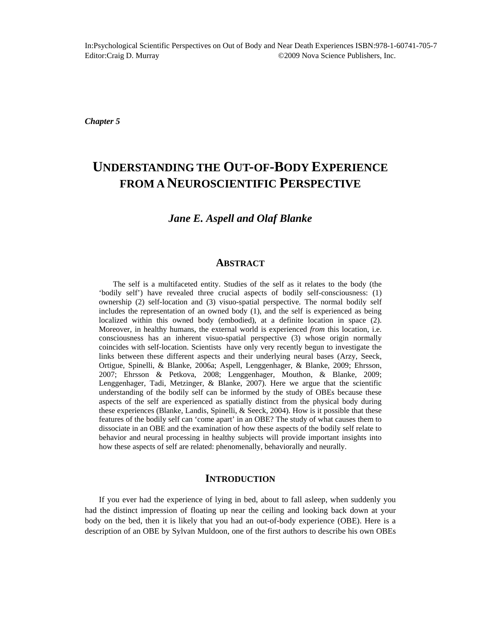*Chapter 5* 

# **UNDERSTANDING THE OUT-OF-BODY EXPERIENCE FROM A NEUROSCIENTIFIC PERSPECTIVE**

### *Jane E. Aspell and Olaf Blanke*

#### **ABSTRACT**

The self is a multifaceted entity. Studies of the self as it relates to the body (the 'bodily self') have revealed three crucial aspects of bodily self-consciousness: (1) ownership (2) self-location and (3) visuo-spatial perspective. The normal bodily self includes the representation of an owned body (1), and the self is experienced as being localized within this owned body (embodied), at a definite location in space (2). Moreover, in healthy humans, the external world is experienced *from* this location, i.e. consciousness has an inherent visuo-spatial perspective (3) whose origin normally coincides with self-location. Scientists have only very recently begun to investigate the links between these different aspects and their underlying neural bases (Arzy, Seeck, Ortigue, Spinelli, & Blanke, 2006a; Aspell, Lenggenhager, & Blanke, 2009; Ehrsson, 2007; Ehrsson & Petkova, 2008; Lenggenhager, Mouthon, & Blanke, 2009; Lenggenhager, Tadi, Metzinger, & Blanke, 2007). Here we argue that the scientific understanding of the bodily self can be informed by the study of OBEs because these aspects of the self are experienced as spatially distinct from the physical body during these experiences (Blanke, Landis, Spinelli, & Seeck, 2004). How is it possible that these features of the bodily self can 'come apart' in an OBE? The study of what causes them to dissociate in an OBE and the examination of how these aspects of the bodily self relate to behavior and neural processing in healthy subjects will provide important insights into how these aspects of self are related: phenomenally, behaviorally and neurally.

### **INTRODUCTION**

If you ever had the experience of lying in bed, about to fall asleep, when suddenly you had the distinct impression of floating up near the ceiling and looking back down at your body on the bed, then it is likely that you had an out-of-body experience (OBE). Here is a description of an OBE by Sylvan Muldoon, one of the first authors to describe his own OBEs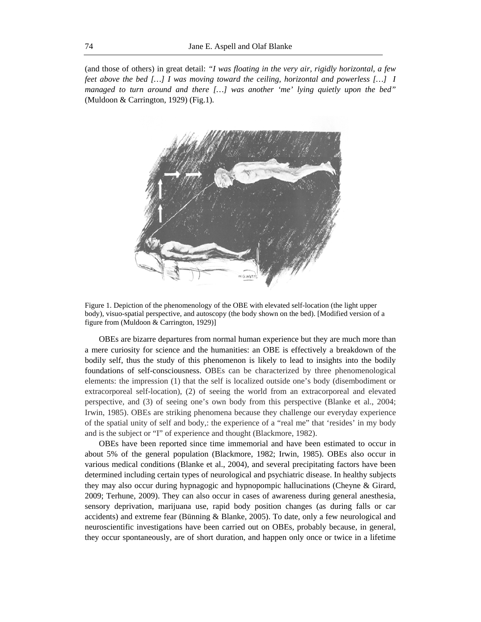(and those of others) in great detail: *"I was floating in the very air, rigidly horizontal, a few feet above the bed […] I was moving toward the ceiling, horizontal and powerless […] I managed to turn around and there […] was another 'me' lying quietly upon the bed"*  (Muldoon & Carrington, 1929) (Fig.1)*.* 



Figure 1. Depiction of the phenomenology of the OBE with elevated self-location (the light upper body), visuo-spatial perspective, and autoscopy (the body shown on the bed). [Modified version of a figure from (Muldoon & Carrington, 1929)]

OBEs are bizarre departures from normal human experience but they are much more than a mere curiosity for science and the humanities: an OBE is effectively a breakdown of the bodily self, thus the study of this phenomenon is likely to lead to insights into the bodily foundations of self-consciousness. OBEs can be characterized by three phenomenological elements: the impression (1) that the self is localized outside one's body (disembodiment or extracorporeal self-location), (2) of seeing the world from an extracorporeal and elevated perspective, and (3) of seeing one's own body from this perspective (Blanke et al., 2004; Irwin, 1985). OBEs are striking phenomena because they challenge our everyday experience of the spatial unity of self and body,: the experience of a "real me" that 'resides' in my body and is the subject or "I" of experience and thought (Blackmore, 1982).

OBEs have been reported since time immemorial and have been estimated to occur in about 5% of the general population (Blackmore, 1982; Irwin, 1985). OBEs also occur in various medical conditions (Blanke et al., 2004), and several precipitating factors have been determined including certain types of neurological and psychiatric disease. In healthy subjects they may also occur during hypnagogic and hypnopompic hallucinations (Cheyne & Girard, 2009; Terhune, 2009). They can also occur in cases of awareness during general anesthesia, sensory deprivation, marijuana use, rapid body position changes (as during falls or car accidents) and extreme fear (Bünning & Blanke, 2005). To date, only a few neurological and neuroscientific investigations have been carried out on OBEs, probably because, in general, they occur spontaneously, are of short duration, and happen only once or twice in a lifetime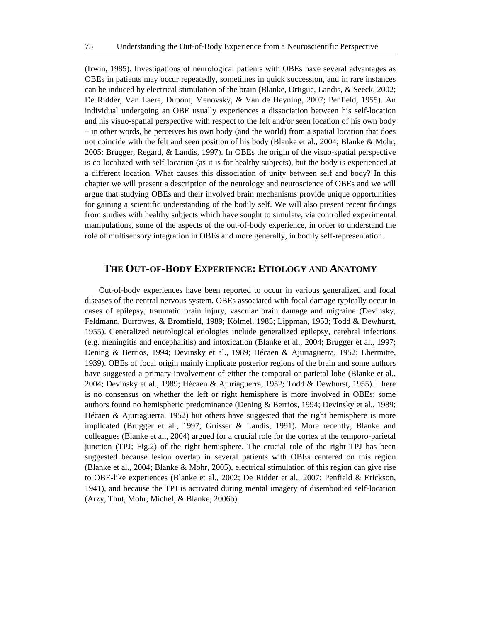(Irwin, 1985). Investigations of neurological patients with OBEs have several advantages as OBEs in patients may occur repeatedly, sometimes in quick succession, and in rare instances can be induced by electrical stimulation of the brain (Blanke, Ortigue, Landis, & Seeck, 2002; De Ridder, Van Laere, Dupont, Menovsky, & Van de Heyning, 2007; Penfield, 1955). An individual undergoing an OBE usually experiences a dissociation between his self-location and his visuo-spatial perspective with respect to the felt and/or seen location of his own body – in other words, he perceives his own body (and the world) from a spatial location that does not coincide with the felt and seen position of his body (Blanke et al., 2004; Blanke & Mohr, 2005; Brugger, Regard, & Landis, 1997). In OBEs the origin of the visuo-spatial perspective is co-localized with self-location (as it is for healthy subjects), but the body is experienced at a different location. What causes this dissociation of unity between self and body? In this chapter we will present a description of the neurology and neuroscience of OBEs and we will argue that studying OBEs and their involved brain mechanisms provide unique opportunities for gaining a scientific understanding of the bodily self. We will also present recent findings from studies with healthy subjects which have sought to simulate, via controlled experimental manipulations, some of the aspects of the out-of-body experience, in order to understand the role of multisensory integration in OBEs and more generally, in bodily self-representation.

#### **THE OUT-OF-BODY EXPERIENCE: ETIOLOGY AND ANATOMY**

Out-of-body experiences have been reported to occur in various generalized and focal diseases of the central nervous system. OBEs associated with focal damage typically occur in cases of epilepsy, traumatic brain injury, vascular brain damage and migraine (Devinsky, Feldmann, Burrowes, & Bromfield, 1989; Kölmel, 1985; Lippman, 1953; Todd & Dewhurst, 1955). Generalized neurological etiologies include generalized epilepsy, cerebral infections (e.g. meningitis and encephalitis) and intoxication (Blanke et al., 2004; Brugger et al., 1997; Dening & Berrios, 1994; Devinsky et al., 1989; Hécaen & Ajuriaguerra, 1952; Lhermitte, 1939). OBEs of focal origin mainly implicate posterior regions of the brain and some authors have suggested a primary involvement of either the temporal or parietal lobe (Blanke et al., 2004; Devinsky et al., 1989; Hécaen & Ajuriaguerra, 1952; Todd & Dewhurst, 1955). There is no consensus on whether the left or right hemisphere is more involved in OBEs: some authors found no hemispheric predominance (Dening & Berrios, 1994; Devinsky et al., 1989; Hécaen & Ajuriaguerra, 1952) but others have suggested that the right hemisphere is more implicated (Brugger et al., 1997; Grüsser & Landis, 1991)**.** More recently, Blanke and colleagues (Blanke et al., 2004) argued for a crucial role for the cortex at the temporo-parietal junction (TPJ; Fig.2) of the right hemisphere. The crucial role of the right TPJ has been suggested because lesion overlap in several patients with OBEs centered on this region (Blanke et al., 2004; Blanke & Mohr, 2005), electrical stimulation of this region can give rise to OBE-like experiences (Blanke et al., 2002; De Ridder et al., 2007; Penfield & Erickson, 1941), and because the TPJ is activated during mental imagery of disembodied self-location (Arzy, Thut, Mohr, Michel, & Blanke, 2006b).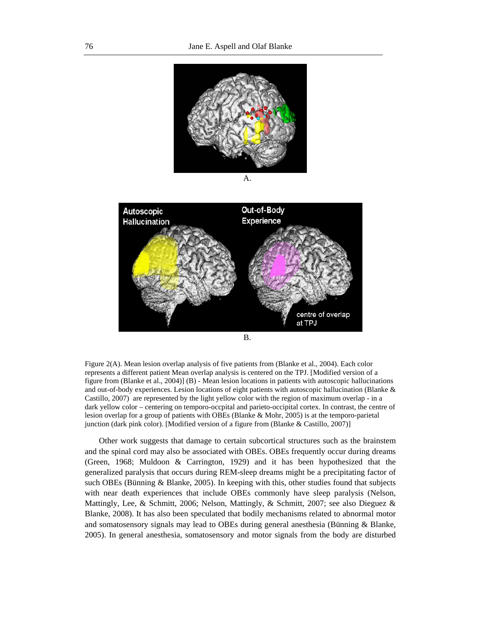

A.



Figure 2(A). Mean lesion overlap analysis of five patients from (Blanke et al., 2004). Each color represents a different patient Mean overlap analysis is centered on the TPJ. [Modified version of a figure from (Blanke et al., 2004)] (B) - Mean lesion locations in patients with autoscopic hallucinations and out-of-body experiences. Lesion locations of eight patients with autoscopic hallucination (Blanke & Castillo, 2007) are represented by the light yellow color with the region of maximum overlap - in a dark yellow color – centering on temporo-occpital and parieto-occipital cortex. In contrast, the centre of lesion overlap for a group of patients with OBEs (Blanke & Mohr, 2005) is at the temporo-parietal junction (dark pink color). [Modified version of a figure from (Blanke & Castillo, 2007)]

Other work suggests that damage to certain subcortical structures such as the brainstem and the spinal cord may also be associated with OBEs. OBEs frequently occur during dreams (Green, 1968; Muldoon & Carrington, 1929) and it has been hypothesized that the generalized paralysis that occurs during REM-sleep dreams might be a precipitating factor of such OBEs (Bünning & Blanke, 2005). In keeping with this, other studies found that subjects with near death experiences that include OBEs commonly have sleep paralysis (Nelson, Mattingly, Lee, & Schmitt, 2006; Nelson, Mattingly, & Schmitt, 2007; see also Dieguez & Blanke, 2008). It has also been speculated that bodily mechanisms related to abnormal motor and somatosensory signals may lead to OBEs during general anesthesia (Bünning & Blanke, 2005). In general anesthesia, somatosensory and motor signals from the body are disturbed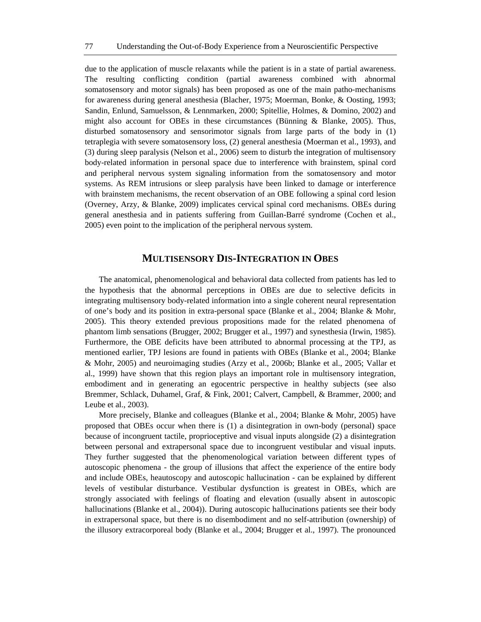due to the application of muscle relaxants while the patient is in a state of partial awareness. The resulting conflicting condition (partial awareness combined with abnormal somatosensory and motor signals) has been proposed as one of the main patho-mechanisms for awareness during general anesthesia (Blacher, 1975; Moerman, Bonke, & Oosting, 1993; Sandin, Enlund, Samuelsson, & Lennmarken, 2000; Spitellie, Holmes, & Domino, 2002) and might also account for OBEs in these circumstances (Bünning & Blanke, 2005). Thus, disturbed somatosensory and sensorimotor signals from large parts of the body in (1) tetraplegia with severe somatosensory loss, (2) general anesthesia (Moerman et al., 1993), and (3) during sleep paralysis (Nelson et al., 2006) seem to disturb the integration of multisensory body-related information in personal space due to interference with brainstem, spinal cord and peripheral nervous system signaling information from the somatosensory and motor systems. As REM intrusions or sleep paralysis have been linked to damage or interference with brainstem mechanisms, the recent observation of an OBE following a spinal cord lesion (Overney, Arzy, & Blanke, 2009) implicates cervical spinal cord mechanisms. OBEs during general anesthesia and in patients suffering from Guillan-Barré syndrome (Cochen et al., 2005) even point to the implication of the peripheral nervous system.

### **MULTISENSORY DIS-INTEGRATION IN OBES**

The anatomical, phenomenological and behavioral data collected from patients has led to the hypothesis that the abnormal perceptions in OBEs are due to selective deficits in integrating multisensory body-related information into a single coherent neural representation of one's body and its position in extra-personal space (Blanke et al., 2004; Blanke & Mohr, 2005). This theory extended previous propositions made for the related phenomena of phantom limb sensations (Brugger, 2002; Brugger et al., 1997) and synesthesia (Irwin, 1985). Furthermore, the OBE deficits have been attributed to abnormal processing at the TPJ, as mentioned earlier, TPJ lesions are found in patients with OBEs (Blanke et al., 2004; Blanke & Mohr, 2005) and neuroimaging studies (Arzy et al., 2006b; Blanke et al., 2005; Vallar et al., 1999) have shown that this region plays an important role in multisensory integration, embodiment and in generating an egocentric perspective in healthy subjects (see also Bremmer, Schlack, Duhamel, Graf, & Fink, 2001; Calvert, Campbell, & Brammer, 2000; and Leube et al., 2003).

More precisely, Blanke and colleagues (Blanke et al., 2004; Blanke & Mohr, 2005) have proposed that OBEs occur when there is (1) a disintegration in own-body (personal) space because of incongruent tactile, proprioceptive and visual inputs alongside (2) a disintegration between personal and extrapersonal space due to incongruent vestibular and visual inputs. They further suggested that the phenomenological variation between different types of autoscopic phenomena - the group of illusions that affect the experience of the entire body and include OBEs, heautoscopy and autoscopic hallucination - can be explained by different levels of vestibular disturbance. Vestibular dysfunction is greatest in OBEs, which are strongly associated with feelings of floating and elevation (usually absent in autoscopic hallucinations (Blanke et al., 2004)). During autoscopic hallucinations patients see their body in extrapersonal space, but there is no disembodiment and no self-attribution (ownership) of the illusory extracorporeal body (Blanke et al., 2004; Brugger et al., 1997). The pronounced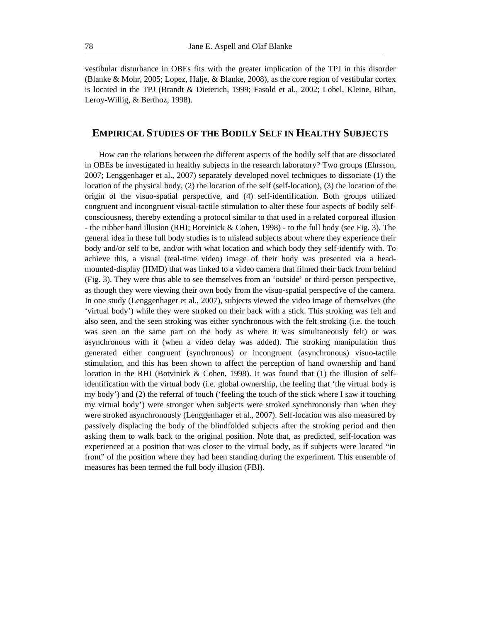vestibular disturbance in OBEs fits with the greater implication of the TPJ in this disorder (Blanke & Mohr, 2005; Lopez, Halje, & Blanke, 2008), as the core region of vestibular cortex is located in the TPJ (Brandt & Dieterich, 1999; Fasold et al., 2002; Lobel, Kleine, Bihan, Leroy-Willig, & Berthoz, 1998).

#### **EMPIRICAL STUDIES OF THE BODILY SELF IN HEALTHY SUBJECTS**

How can the relations between the different aspects of the bodily self that are dissociated in OBEs be investigated in healthy subjects in the research laboratory? Two groups (Ehrsson, 2007; Lenggenhager et al., 2007) separately developed novel techniques to dissociate (1) the location of the physical body, (2) the location of the self (self-location), (3) the location of the origin of the visuo-spatial perspective, and (4) self-identification. Both groups utilized congruent and incongruent visual-tactile stimulation to alter these four aspects of bodily selfconsciousness, thereby extending a protocol similar to that used in a related corporeal illusion - the rubber hand illusion (RHI; Botvinick & Cohen, 1998) - to the full body (see Fig. 3). The general idea in these full body studies is to mislead subjects about where they experience their body and/or self to be, and/or with what location and which body they self-identify with. To achieve this, a visual (real-time video) image of their body was presented via a headmounted-display (HMD) that was linked to a video camera that filmed their back from behind (Fig. 3). They were thus able to see themselves from an 'outside' or third-person perspective, as though they were viewing their own body from the visuo-spatial perspective of the camera. In one study (Lenggenhager et al., 2007), subjects viewed the video image of themselves (the 'virtual body') while they were stroked on their back with a stick. This stroking was felt and also seen, and the seen stroking was either synchronous with the felt stroking (i.e. the touch was seen on the same part on the body as where it was simultaneously felt) or was asynchronous with it (when a video delay was added). The stroking manipulation thus generated either congruent (synchronous) or incongruent (asynchronous) visuo-tactile stimulation, and this has been shown to affect the perception of hand ownership and hand location in the RHI (Botvinick & Cohen, 1998). It was found that (1) the illusion of selfidentification with the virtual body (i.e. global ownership, the feeling that 'the virtual body is my body') and (2) the referral of touch ('feeling the touch of the stick where I saw it touching my virtual body') were stronger when subjects were stroked synchronously than when they were stroked asynchronously (Lenggenhager et al., 2007). Self-location was also measured by passively displacing the body of the blindfolded subjects after the stroking period and then asking them to walk back to the original position. Note that, as predicted, self-location was experienced at a position that was closer to the virtual body, as if subjects were located "in front" of the position where they had been standing during the experiment. This ensemble of measures has been termed the full body illusion (FBI).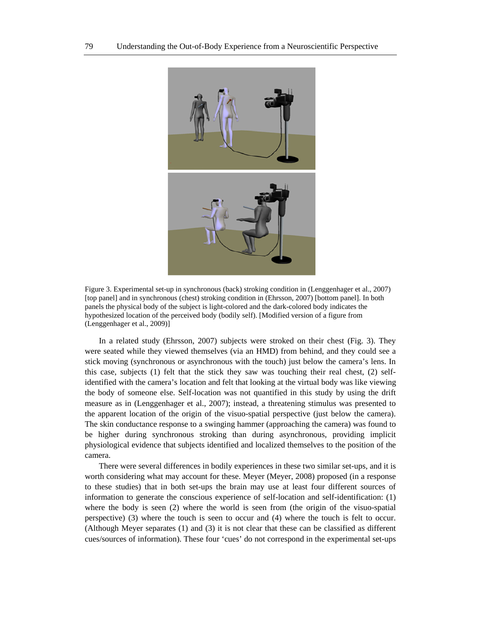

Figure 3. Experimental set-up in synchronous (back) stroking condition in (Lenggenhager et al., 2007) [top panel] and in synchronous (chest) stroking condition in (Ehrsson, 2007) [bottom panel]. In both panels the physical body of the subject is light-colored and the dark-colored body indicates the hypothesized location of the perceived body (bodily self). [Modified version of a figure from (Lenggenhager et al., 2009)]

In a related study (Ehrsson, 2007) subjects were stroked on their chest (Fig. 3). They were seated while they viewed themselves (via an HMD) from behind, and they could see a stick moving (synchronous or asynchronous with the touch) just below the camera's lens. In this case, subjects (1) felt that the stick they saw was touching their real chest, (2) selfidentified with the camera's location and felt that looking at the virtual body was like viewing the body of someone else. Self-location was not quantified in this study by using the drift measure as in (Lenggenhager et al., 2007); instead, a threatening stimulus was presented to the apparent location of the origin of the visuo-spatial perspective (just below the camera). The skin conductance response to a swinging hammer (approaching the camera) was found to be higher during synchronous stroking than during asynchronous, providing implicit physiological evidence that subjects identified and localized themselves to the position of the camera.

There were several differences in bodily experiences in these two similar set-ups, and it is worth considering what may account for these. Meyer (Meyer, 2008) proposed (in a response to these studies) that in both set-ups the brain may use at least four different sources of information to generate the conscious experience of self-location and self-identification: (1) where the body is seen (2) where the world is seen from (the origin of the visuo-spatial perspective) (3) where the touch is seen to occur and (4) where the touch is felt to occur. (Although Meyer separates (1) and (3) it is not clear that these can be classified as different cues/sources of information). These four 'cues' do not correspond in the experimental set-ups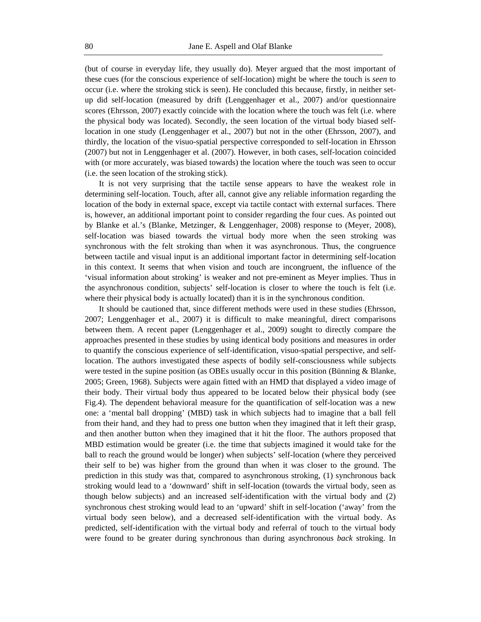(but of course in everyday life, they usually do). Meyer argued that the most important of these cues (for the conscious experience of self-location) might be where the touch is *seen* to occur (i.e. where the stroking stick is seen). He concluded this because, firstly, in neither setup did self-location (measured by drift (Lenggenhager et al., 2007) and/or questionnaire scores (Ehrsson, 2007) exactly coincide with the location where the touch was felt (i.e. where the physical body was located). Secondly, the seen location of the virtual body biased selflocation in one study (Lenggenhager et al., 2007) but not in the other (Ehrsson, 2007), and thirdly, the location of the visuo-spatial perspective corresponded to self-location in Ehrsson (2007) but not in Lenggenhager et al. (2007). However, in both cases, self-location coincided with (or more accurately, was biased towards) the location where the touch was seen to occur (i.e. the seen location of the stroking stick).

It is not very surprising that the tactile sense appears to have the weakest role in determining self-location. Touch, after all, cannot give any reliable information regarding the location of the body in external space, except via tactile contact with external surfaces. There is, however, an additional important point to consider regarding the four cues. As pointed out by Blanke et al.'s (Blanke, Metzinger, & Lenggenhager, 2008) response to (Meyer, 2008), self-location was biased towards the virtual body more when the seen stroking was synchronous with the felt stroking than when it was asynchronous. Thus, the congruence between tactile and visual input is an additional important factor in determining self-location in this context. It seems that when vision and touch are incongruent, the influence of the 'visual information about stroking' is weaker and not pre-eminent as Meyer implies. Thus in the asynchronous condition, subjects' self-location is closer to where the touch is felt (i.e. where their physical body is actually located) than it is in the synchronous condition.

It should be cautioned that, since different methods were used in these studies (Ehrsson, 2007; Lenggenhager et al., 2007) it is difficult to make meaningful, direct comparisons between them. A recent paper (Lenggenhager et al., 2009) sought to directly compare the approaches presented in these studies by using identical body positions and measures in order to quantify the conscious experience of self-identification, visuo-spatial perspective, and selflocation. The authors investigated these aspects of bodily self-consciousness while subjects were tested in the supine position (as OBEs usually occur in this position (Bünning & Blanke, 2005; Green, 1968). Subjects were again fitted with an HMD that displayed a video image of their body. Their virtual body thus appeared to be located below their physical body (see Fig.4). The dependent behavioral measure for the quantification of self-location was a new one: a 'mental ball dropping' (MBD) task in which subjects had to imagine that a ball fell from their hand, and they had to press one button when they imagined that it left their grasp, and then another button when they imagined that it hit the floor. The authors proposed that MBD estimation would be greater (i.e. the time that subjects imagined it would take for the ball to reach the ground would be longer) when subjects' self-location (where they perceived their self to be) was higher from the ground than when it was closer to the ground. The prediction in this study was that, compared to asynchronous stroking, (1) synchronous back stroking would lead to a 'downward' shift in self-location (towards the virtual body, seen as though below subjects) and an increased self-identification with the virtual body and (2) synchronous chest stroking would lead to an 'upward' shift in self-location ('away' from the virtual body seen below), and a decreased self-identification with the virtual body. As predicted, self-identification with the virtual body and referral of touch to the virtual body were found to be greater during synchronous than during asynchronous *back* stroking. In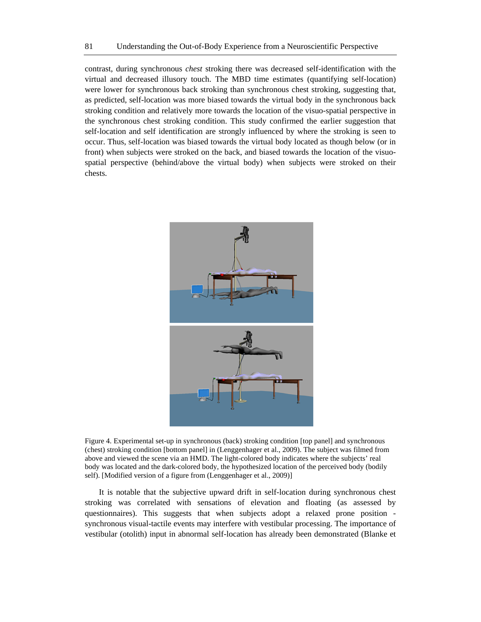contrast, during synchronous *chest* stroking there was decreased self-identification with the virtual and decreased illusory touch. The MBD time estimates (quantifying self-location) were lower for synchronous back stroking than synchronous chest stroking, suggesting that, as predicted, self-location was more biased towards the virtual body in the synchronous back stroking condition and relatively more towards the location of the visuo-spatial perspective in the synchronous chest stroking condition. This study confirmed the earlier suggestion that self-location and self identification are strongly influenced by where the stroking is seen to occur. Thus, self-location was biased towards the virtual body located as though below (or in front) when subjects were stroked on the back, and biased towards the location of the visuospatial perspective (behind/above the virtual body) when subjects were stroked on their chests.



Figure 4. Experimental set-up in synchronous (back) stroking condition [top panel] and synchronous (chest) stroking condition [bottom panel] in (Lenggenhager et al., 2009). The subject was filmed from above and viewed the scene via an HMD. The light-colored body indicates where the subjects' real body was located and the dark-colored body, the hypothesized location of the perceived body (bodily self). [Modified version of a figure from (Lenggenhager et al., 2009)]

It is notable that the subjective upward drift in self-location during synchronous chest stroking was correlated with sensations of elevation and floating (as assessed by questionnaires). This suggests that when subjects adopt a relaxed prone position synchronous visual-tactile events may interfere with vestibular processing. The importance of vestibular (otolith) input in abnormal self-location has already been demonstrated (Blanke et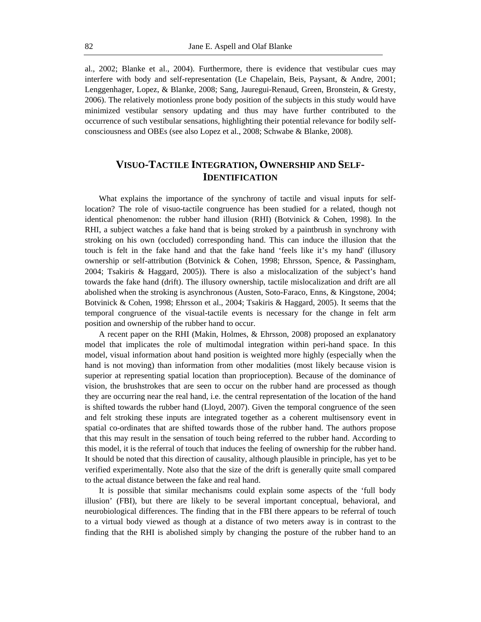al., 2002; Blanke et al., 2004). Furthermore, there is evidence that vestibular cues may interfere with body and self-representation (Le Chapelain, Beis, Paysant, & Andre, 2001; Lenggenhager, Lopez, & Blanke, 2008; Sang, Jauregui-Renaud, Green, Bronstein, & Gresty, 2006). The relatively motionless prone body position of the subjects in this study would have minimized vestibular sensory updating and thus may have further contributed to the occurrence of such vestibular sensations, highlighting their potential relevance for bodily selfconsciousness and OBEs (see also Lopez et al., 2008; Schwabe & Blanke, 2008).

# **VISUO-TACTILE INTEGRATION, OWNERSHIP AND SELF-IDENTIFICATION**

What explains the importance of the synchrony of tactile and visual inputs for selflocation? The role of visuo-tactile congruence has been studied for a related, though not identical phenomenon: the rubber hand illusion (RHI) (Botvinick & Cohen, 1998). In the RHI, a subject watches a fake hand that is being stroked by a paintbrush in synchrony with stroking on his own (occluded) corresponding hand. This can induce the illusion that the touch is felt in the fake hand and that the fake hand 'feels like it's my hand' (illusory ownership or self-attribution (Botvinick & Cohen, 1998; Ehrsson, Spence, & Passingham, 2004; Tsakiris & Haggard, 2005)). There is also a mislocalization of the subject's hand towards the fake hand (drift). The illusory ownership, tactile mislocalization and drift are all abolished when the stroking is asynchronous (Austen, Soto-Faraco, Enns, & Kingstone, 2004; Botvinick & Cohen, 1998; Ehrsson et al., 2004; Tsakiris & Haggard, 2005). It seems that the temporal congruence of the visual-tactile events is necessary for the change in felt arm position and ownership of the rubber hand to occur.

A recent paper on the RHI (Makin, Holmes, & Ehrsson, 2008) proposed an explanatory model that implicates the role of multimodal integration within peri-hand space. In this model, visual information about hand position is weighted more highly (especially when the hand is not moving) than information from other modalities (most likely because vision is superior at representing spatial location than proprioception). Because of the dominance of vision, the brushstrokes that are seen to occur on the rubber hand are processed as though they are occurring near the real hand, i.e. the central representation of the location of the hand is shifted towards the rubber hand (Lloyd, 2007). Given the temporal congruence of the seen and felt stroking these inputs are integrated together as a coherent multisensory event in spatial co-ordinates that are shifted towards those of the rubber hand. The authors propose that this may result in the sensation of touch being referred to the rubber hand. According to this model, it is the referral of touch that induces the feeling of ownership for the rubber hand. It should be noted that this direction of causality, although plausible in principle, has yet to be verified experimentally. Note also that the size of the drift is generally quite small compared to the actual distance between the fake and real hand.

It is possible that similar mechanisms could explain some aspects of the 'full body illusion' (FBI), but there are likely to be several important conceptual, behavioral, and neurobiological differences. The finding that in the FBI there appears to be referral of touch to a virtual body viewed as though at a distance of two meters away is in contrast to the finding that the RHI is abolished simply by changing the posture of the rubber hand to an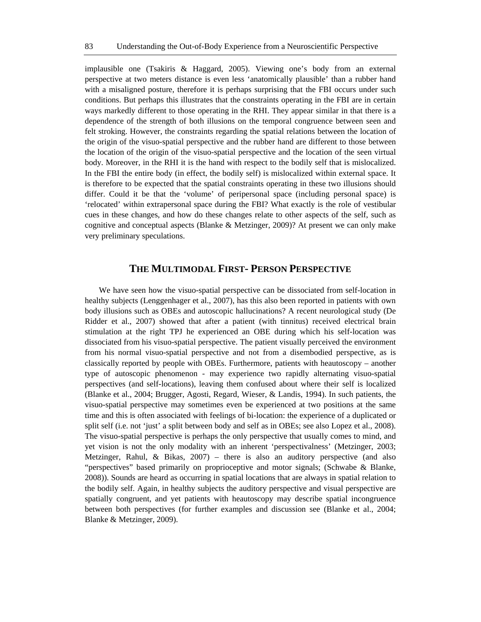implausible one (Tsakiris & Haggard, 2005). Viewing one's body from an external perspective at two meters distance is even less 'anatomically plausible' than a rubber hand with a misaligned posture, therefore it is perhaps surprising that the FBI occurs under such conditions. But perhaps this illustrates that the constraints operating in the FBI are in certain ways markedly different to those operating in the RHI. They appear similar in that there is a dependence of the strength of both illusions on the temporal congruence between seen and felt stroking. However, the constraints regarding the spatial relations between the location of the origin of the visuo-spatial perspective and the rubber hand are different to those between the location of the origin of the visuo-spatial perspective and the location of the seen virtual body. Moreover, in the RHI it is the hand with respect to the bodily self that is mislocalized. In the FBI the entire body (in effect, the bodily self) is mislocalized within external space. It is therefore to be expected that the spatial constraints operating in these two illusions should differ. Could it be that the 'volume' of peripersonal space (including personal space) is 'relocated' within extrapersonal space during the FBI? What exactly is the role of vestibular cues in these changes, and how do these changes relate to other aspects of the self, such as cognitive and conceptual aspects (Blanke & Metzinger, 2009)? At present we can only make very preliminary speculations.

## **THE MULTIMODAL FIRST- PERSON PERSPECTIVE**

We have seen how the visuo-spatial perspective can be dissociated from self-location in healthy subjects (Lenggenhager et al., 2007), has this also been reported in patients with own body illusions such as OBEs and autoscopic hallucinations? A recent neurological study (De Ridder et al., 2007) showed that after a patient (with tinnitus) received electrical brain stimulation at the right TPJ he experienced an OBE during which his self-location was dissociated from his visuo-spatial perspective. The patient visually perceived the environment from his normal visuo-spatial perspective and not from a disembodied perspective, as is classically reported by people with OBEs. Furthermore, patients with heautoscopy – another type of autoscopic phenomenon - may experience two rapidly alternating visuo-spatial perspectives (and self-locations), leaving them confused about where their self is localized (Blanke et al., 2004; Brugger, Agosti, Regard, Wieser, & Landis, 1994). In such patients, the visuo-spatial perspective may sometimes even be experienced at two positions at the same time and this is often associated with feelings of bi-location: the experience of a duplicated or split self (i.e. not 'just' a split between body and self as in OBEs; see also Lopez et al., 2008). The visuo-spatial perspective is perhaps the only perspective that usually comes to mind, and yet vision is not the only modality with an inherent 'perspectivalness' (Metzinger, 2003; Metzinger, Rahul,  $\&$  Bikas, 2007) – there is also an auditory perspective (and also "perspectives" based primarily on proprioceptive and motor signals; (Schwabe & Blanke, 2008)). Sounds are heard as occurring in spatial locations that are always in spatial relation to the bodily self. Again, in healthy subjects the auditory perspective and visual perspective are spatially congruent, and yet patients with heautoscopy may describe spatial incongruence between both perspectives (for further examples and discussion see (Blanke et al., 2004; Blanke & Metzinger, 2009).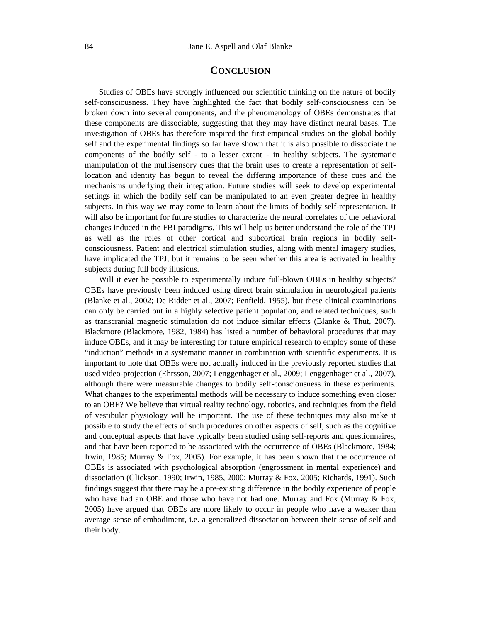#### **CONCLUSION**

Studies of OBEs have strongly influenced our scientific thinking on the nature of bodily self-consciousness. They have highlighted the fact that bodily self-consciousness can be broken down into several components, and the phenomenology of OBEs demonstrates that these components are dissociable, suggesting that they may have distinct neural bases. The investigation of OBEs has therefore inspired the first empirical studies on the global bodily self and the experimental findings so far have shown that it is also possible to dissociate the components of the bodily self - to a lesser extent - in healthy subjects. The systematic manipulation of the multisensory cues that the brain uses to create a representation of selflocation and identity has begun to reveal the differing importance of these cues and the mechanisms underlying their integration. Future studies will seek to develop experimental settings in which the bodily self can be manipulated to an even greater degree in healthy subjects. In this way we may come to learn about the limits of bodily self-representation. It will also be important for future studies to characterize the neural correlates of the behavioral changes induced in the FBI paradigms. This will help us better understand the role of the TPJ as well as the roles of other cortical and subcortical brain regions in bodily selfconsciousness. Patient and electrical stimulation studies, along with mental imagery studies, have implicated the TPJ, but it remains to be seen whether this area is activated in healthy subjects during full body illusions.

Will it ever be possible to experimentally induce full-blown OBEs in healthy subjects? OBEs have previously been induced using direct brain stimulation in neurological patients (Blanke et al., 2002; De Ridder et al., 2007; Penfield, 1955), but these clinical examinations can only be carried out in a highly selective patient population, and related techniques, such as transcranial magnetic stimulation do not induce similar effects (Blanke & Thut, 2007). Blackmore (Blackmore, 1982, 1984) has listed a number of behavioral procedures that may induce OBEs, and it may be interesting for future empirical research to employ some of these "induction" methods in a systematic manner in combination with scientific experiments. It is important to note that OBEs were not actually induced in the previously reported studies that used video-projection (Ehrsson, 2007; Lenggenhager et al., 2009; Lenggenhager et al., 2007), although there were measurable changes to bodily self-consciousness in these experiments. What changes to the experimental methods will be necessary to induce something even closer to an OBE? We believe that virtual reality technology, robotics, and techniques from the field of vestibular physiology will be important. The use of these techniques may also make it possible to study the effects of such procedures on other aspects of self, such as the cognitive and conceptual aspects that have typically been studied using self-reports and questionnaires, and that have been reported to be associated with the occurrence of OBEs (Blackmore, 1984; Irwin, 1985; Murray & Fox, 2005). For example, it has been shown that the occurrence of OBEs is associated with psychological absorption (engrossment in mental experience) and dissociation (Glickson, 1990; Irwin, 1985, 2000; Murray & Fox, 2005; Richards, 1991). Such findings suggest that there may be a pre-existing difference in the bodily experience of people who have had an OBE and those who have not had one. Murray and Fox (Murray  $\&$  Fox, 2005) have argued that OBEs are more likely to occur in people who have a weaker than average sense of embodiment, i.e. a generalized dissociation between their sense of self and their body.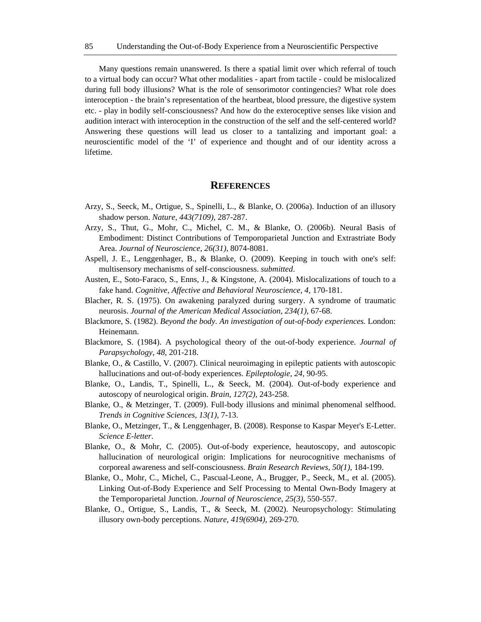Many questions remain unanswered. Is there a spatial limit over which referral of touch to a virtual body can occur? What other modalities - apart from tactile - could be mislocalized during full body illusions? What is the role of sensorimotor contingencies? What role does interoception - the brain's representation of the heartbeat, blood pressure, the digestive system etc. - play in bodily self-consciousness? And how do the exteroceptive senses like vision and audition interact with interoception in the construction of the self and the self-centered world? Answering these questions will lead us closer to a tantalizing and important goal: a neuroscientific model of the 'I' of experience and thought and of our identity across a lifetime.

#### **REFERENCES**

- Arzy, S., Seeck, M., Ortigue, S., Spinelli, L., & Blanke, O. (2006a). Induction of an illusory shadow person. *Nature, 443(7109),* 287-287.
- Arzy, S., Thut, G., Mohr, C., Michel, C. M., & Blanke, O. (2006b). Neural Basis of Embodiment: Distinct Contributions of Temporoparietal Junction and Extrastriate Body Area. *Journal of Neuroscience, 26(31),* 8074-8081.
- Aspell, J. E., Lenggenhager, B., & Blanke, O. (2009). Keeping in touch with one's self: multisensory mechanisms of self-consciousness. *submitted*.
- Austen, E., Soto-Faraco, S., Enns, J., & Kingstone, A. (2004). Mislocalizations of touch to a fake hand. *Cognitive, Affective and Behavioral Neuroscience, 4,* 170-181.
- Blacher, R. S. (1975). On awakening paralyzed during surgery. A syndrome of traumatic neurosis. *Journal of the American Medical Association, 234(1),* 67-68.
- Blackmore, S. (1982). *Beyond the body. An investigation of out-of-body experiences.* London: Heinemann.
- Blackmore, S. (1984). A psychological theory of the out-of-body experience. *Journal of Parapsychology, 48*, 201-218.
- Blanke, O., & Castillo, V. (2007). Clinical neuroimaging in epileptic patients with autoscopic hallucinations and out-of-body experiences. *Epileptologie, 24*, 90-95.
- Blanke, O., Landis, T., Spinelli, L., & Seeck, M. (2004). Out-of-body experience and autoscopy of neurological origin. *Brain, 127(2),* 243-258.
- Blanke, O., & Metzinger, T. (2009). Full-body illusions and minimal phenomenal selfhood. *Trends in Cognitive Sciences, 13(1),* 7-13.
- Blanke, O., Metzinger, T., & Lenggenhager, B. (2008). Response to Kaspar Meyer's E-Letter. *Science E-letter*.
- Blanke, O., & Mohr, C. (2005). Out-of-body experience, heautoscopy, and autoscopic hallucination of neurological origin: Implications for neurocognitive mechanisms of corporeal awareness and self-consciousness. *Brain Research Reviews, 50(1),* 184-199.
- Blanke, O., Mohr, C., Michel, C., Pascual-Leone, A., Brugger, P., Seeck, M., et al. (2005). Linking Out-of-Body Experience and Self Processing to Mental Own-Body Imagery at the Temporoparietal Junction. *Journal of Neuroscience, 25(3),* 550-557.
- Blanke, O., Ortigue, S., Landis, T., & Seeck, M. (2002). Neuropsychology: Stimulating illusory own-body perceptions. *Nature, 419(6904),* 269-270.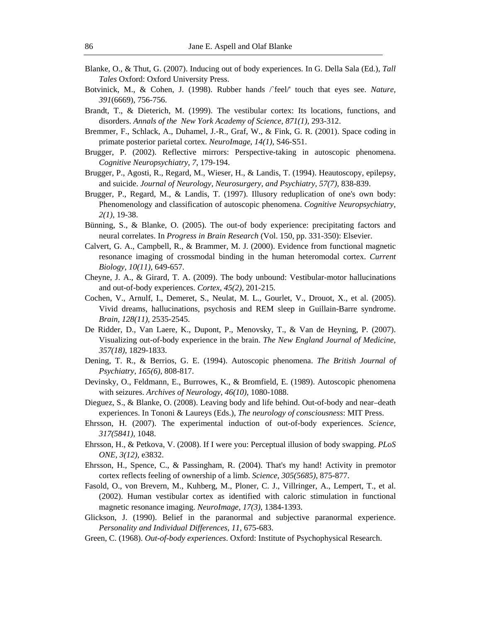- Blanke, O., & Thut, G. (2007). Inducing out of body experiences. In G. Della Sala (Ed.), *Tall Tales* Oxford: Oxford University Press.
- Botvinick, M., & Cohen, J. (1998). Rubber hands /`feel/' touch that eyes see. *Nature, 391*(6669), 756-756.
- Brandt, T., & Dieterich, M. (1999). The vestibular cortex: Its locations, functions, and disorders. *Annals of the New York Academy of Science, 871(1),* 293-312.
- Bremmer, F., Schlack, A., Duhamel, J.-R., Graf, W., & Fink, G. R. (2001). Space coding in primate posterior parietal cortex. *NeuroImage, 14(1),* S46-S51.
- Brugger, P. (2002). Reflective mirrors: Perspective-taking in autoscopic phenomena. *Cognitive Neuropsychiatry, 7*, 179-194.
- Brugger, P., Agosti, R., Regard, M., Wieser, H., & Landis, T. (1994). Heautoscopy, epilepsy, and suicide. *Journal of Neurology, Neurosurgery, and Psychiatry, 57(7),* 838-839.
- Brugger, P., Regard, M., & Landis, T. (1997). Illusory reduplication of one's own body: Phenomenology and classification of autoscopic phenomena. *Cognitive Neuropsychiatry, 2(1),* 19-38.
- Bünning, S., & Blanke, O. (2005). The out-of body experience: precipitating factors and neural correlates. In *Progress in Brain Research* (Vol. 150, pp. 331-350): Elsevier.
- Calvert, G. A., Campbell, R., & Brammer, M. J. (2000). Evidence from functional magnetic resonance imaging of crossmodal binding in the human heteromodal cortex. *Current Biology, 10(11),* 649-657.
- Cheyne, J. A., & Girard, T. A. (2009). The body unbound: Vestibular-motor hallucinations and out-of-body experiences. *Cortex, 45(2),* 201-215.
- Cochen, V., Arnulf, I., Demeret, S., Neulat, M. L., Gourlet, V., Drouot, X., et al. (2005). Vivid dreams, hallucinations, psychosis and REM sleep in Guillain-Barre syndrome. *Brain, 128(11),* 2535-2545.
- De Ridder, D., Van Laere, K., Dupont, P., Menovsky, T., & Van de Heyning, P. (2007). Visualizing out-of-body experience in the brain. *The New England Journal of Medicine, 357(18),* 1829-1833.
- Dening, T. R., & Berrios, G. E. (1994). Autoscopic phenomena. *The British Journal of Psychiatry, 165(6),* 808-817.
- Devinsky, O., Feldmann, E., Burrowes, K., & Bromfield, E. (1989). Autoscopic phenomena with seizures. *Archives of Neurology, 46(10),* 1080-1088.
- Dieguez, S., & Blanke, O. (2008). Leaving body and life behind. Out-of-body and near–death experiences. In Tononi & Laureys (Eds.), *The neurology of consciousness*: MIT Press.
- Ehrsson, H. (2007). The experimental induction of out-of-body experiences. *Science, 317(5841),* 1048.
- Ehrsson, H., & Petkova, V. (2008). If I were you: Perceptual illusion of body swapping. *PLoS ONE, 3(12),* e3832.
- Ehrsson, H., Spence, C., & Passingham, R. (2004). That's my hand! Activity in premotor cortex reflects feeling of ownership of a limb. *Science, 305(5685),* 875-877.
- Fasold, O., von Brevern, M., Kuhberg, M., Ploner, C. J., Villringer, A., Lempert, T., et al. (2002). Human vestibular cortex as identified with caloric stimulation in functional magnetic resonance imaging. *NeuroImage, 17(3),* 1384-1393.
- Glickson, J. (1990). Belief in the paranormal and subjective paranormal experience. *Personality and Individual Differences, 11,* 675-683.
- Green, C. (1968). *Out-of-body experiences*. Oxford: Institute of Psychophysical Research.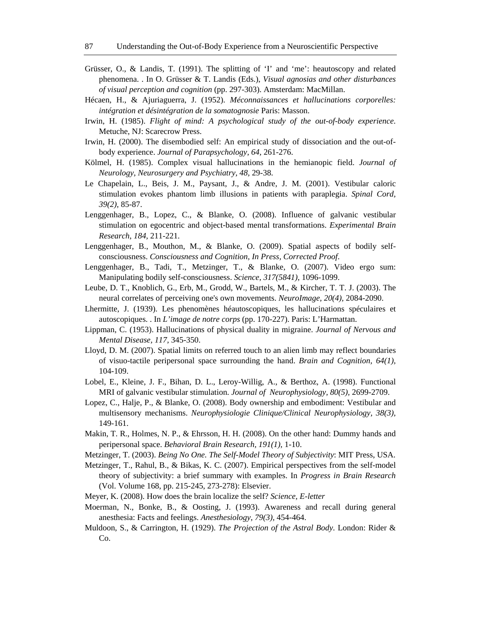- Grüsser, O., & Landis, T. (1991). The splitting of 'I' and 'me': heautoscopy and related phenomena. . In O. Grüsser & T. Landis (Eds.), *Visual agnosias and other disturbances of visual perception and cognition* (pp. 297-303). Amsterdam: MacMillan.
- Hécaen, H., & Ajuriaguerra, J. (1952). *Méconnaissances et hallucinations corporelles: intégration et désintégration de la somatognosie* Paris: Masson.
- Irwin, H. (1985). *Flight of mind: A psychological study of the out-of-body experience.* Metuche, NJ: Scarecrow Press.
- Irwin, H. (2000). The disembodied self: An empirical study of dissociation and the out-ofbody experience. *Journal of Parapsychology, 64,* 261-276.
- Kölmel, H. (1985). Complex visual hallucinations in the hemianopic field. *Journal of Neurology, Neurosurgery and Psychiatry, 48,* 29-38.
- Le Chapelain, L., Beis, J. M., Paysant, J., & Andre, J. M. (2001). Vestibular caloric stimulation evokes phantom limb illusions in patients with paraplegia. *Spinal Cord, 39(2),* 85-87.
- Lenggenhager, B., Lopez, C., & Blanke, O. (2008). Influence of galvanic vestibular stimulation on egocentric and object-based mental transformations. *Experimental Brain Research*, *184,* 211-221.
- Lenggenhager, B., Mouthon, M., & Blanke, O. (2009). Spatial aspects of bodily selfconsciousness. *Consciousness and Cognition, In Press, Corrected Proof*.
- Lenggenhager, B., Tadi, T., Metzinger, T., & Blanke, O. (2007). Video ergo sum: Manipulating bodily self-consciousness. *Science, 317(5841),* 1096-1099.
- Leube, D. T., Knoblich, G., Erb, M., Grodd, W., Bartels, M., & Kircher, T. T. J. (2003). The neural correlates of perceiving one's own movements. *NeuroImage, 20(4),* 2084-2090.
- Lhermitte, J. (1939). Les phenomènes héautoscopiques, les hallucinations spéculaires et autoscopiques. . In *L'image de notre corps* (pp. 170-227). Paris: L'Harmattan.
- Lippman, C. (1953). Hallucinations of physical duality in migraine. *Journal of Nervous and Mental Disease, 117,* 345-350.
- Lloyd, D. M. (2007). Spatial limits on referred touch to an alien limb may reflect boundaries of visuo-tactile peripersonal space surrounding the hand. *Brain and Cognition, 64(1),* 104-109.
- Lobel, E., Kleine, J. F., Bihan, D. L., Leroy-Willig, A., & Berthoz, A. (1998). Functional MRI of galvanic vestibular stimulation. *Journal of Neurophysiology, 80(5),* 2699-2709.
- Lopez, C., Halje, P., & Blanke, O. (2008). Body ownership and embodiment: Vestibular and multisensory mechanisms. *Neurophysiologie Clinique/Clinical Neurophysiology, 38(3),*  149-161.
- Makin, T. R., Holmes, N. P., & Ehrsson, H. H. (2008). On the other hand: Dummy hands and peripersonal space. *Behavioral Brain Research, 191(1),* 1-10.
- Metzinger, T. (2003). *Being No One. The Self-Model Theory of Subjectivity*: MIT Press, USA.
- Metzinger, T., Rahul, B., & Bikas, K. C. (2007). Empirical perspectives from the self-model theory of subjectivity: a brief summary with examples. In *Progress in Brain Research* (Vol. Volume 168, pp. 215-245, 273-278): Elsevier.
- Meyer, K. (2008). How does the brain localize the self? *Science, E-letter*
- Moerman, N., Bonke, B., & Oosting, J. (1993). Awareness and recall during general anesthesia: Facts and feelings. *Anesthesiology, 79(3),* 454-464.
- Muldoon, S., & Carrington, H. (1929). *The Projection of the Astral Body*. London: Rider & Co.